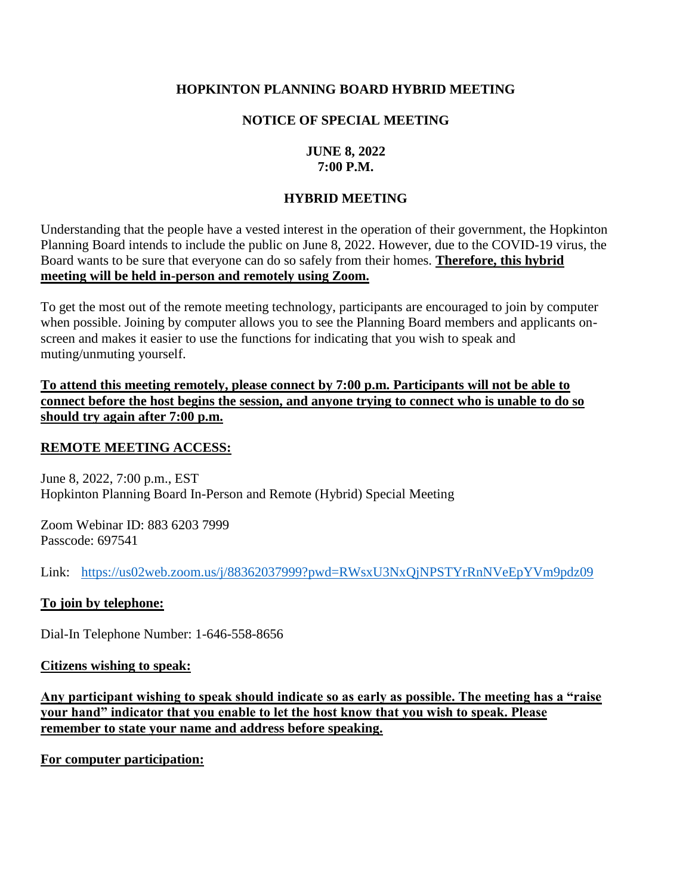### **HOPKINTON PLANNING BOARD HYBRID MEETING**

### **NOTICE OF SPECIAL MEETING**

### **JUNE 8, 2022 7:00 P.M.**

### **HYBRID MEETING**

Understanding that the people have a vested interest in the operation of their government, the Hopkinton Planning Board intends to include the public on June 8, 2022. However, due to the COVID-19 virus, the Board wants to be sure that everyone can do so safely from their homes. **Therefore, this hybrid meeting will be held in-person and remotely using Zoom.**

To get the most out of the remote meeting technology, participants are encouraged to join by computer when possible. Joining by computer allows you to see the Planning Board members and applicants onscreen and makes it easier to use the functions for indicating that you wish to speak and muting/unmuting yourself.

**To attend this meeting remotely, please connect by 7:00 p.m. Participants will not be able to connect before the host begins the session, and anyone trying to connect who is unable to do so should try again after 7:00 p.m.** 

### **REMOTE MEETING ACCESS:**

June 8, 2022, 7:00 p.m., EST Hopkinton Planning Board In-Person and Remote (Hybrid) Special Meeting

Zoom Webinar ID: 883 6203 7999 Passcode: 697541

Link: <https://us02web.zoom.us/j/88362037999?pwd=RWsxU3NxQjNPSTYrRnNVeEpYVm9pdz09>

#### **To join by telephone:**

Dial-In Telephone Number: 1-646-558-8656

#### **Citizens wishing to speak:**

**Any participant wishing to speak should indicate so as early as possible. The meeting has a "raise your hand" indicator that you enable to let the host know that you wish to speak. Please remember to state your name and address before speaking.** 

**For computer participation:**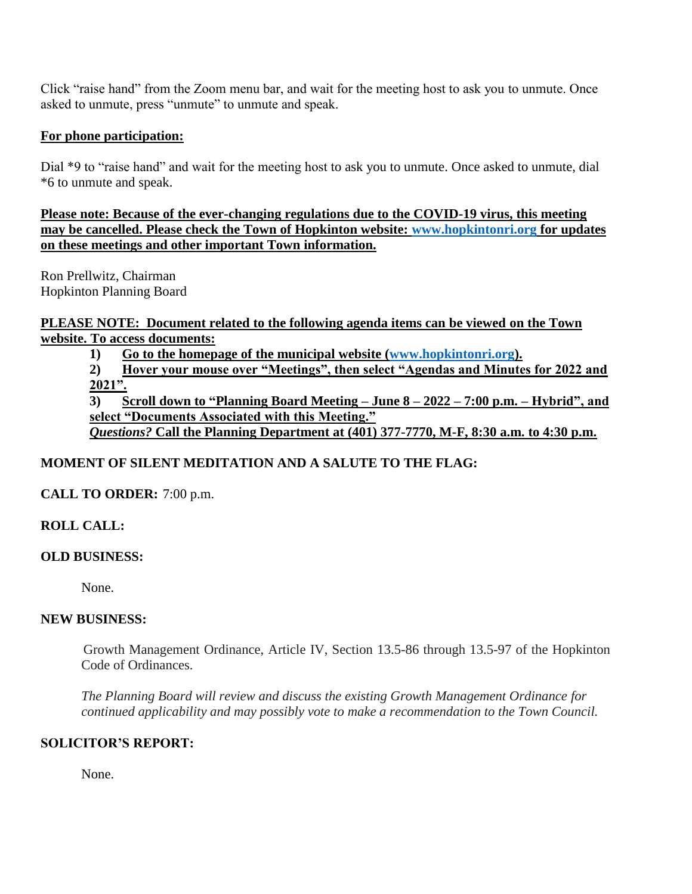Click "raise hand" from the Zoom menu bar, and wait for the meeting host to ask you to unmute. Once asked to unmute, press "unmute" to unmute and speak.

### **For phone participation:**

Dial \*9 to "raise hand" and wait for the meeting host to ask you to unmute. Once asked to unmute, dial \*6 to unmute and speak.

**Please note: Because of the ever-changing regulations due to the COVID-19 virus, this meeting may be cancelled. Please check the Town of Hopkinton website: [www.hopkintonri.org](http://www.hopkintonri.org/) for updates on these meetings and other important Town information.** 

Ron Prellwitz, Chairman Hopkinton Planning Board

**PLEASE NOTE: Document related to the following agenda items can be viewed on the Town website. To access documents:** 

**1) Go to the homepage of the municipal website [\(www.hopkintonri.org\)](http://www.hopkintonri.org/).**

**2) Hover your mouse over "Meetings", then select "Agendas and Minutes for 2022 and 2021".**

**3) Scroll down to "Planning Board Meeting – June 8 – 2022 – 7:00 p.m. – Hybrid", and select "Documents Associated with this Meeting."** *Questions?* **Call the Planning Department at (401) 377-7770, M-F, 8:30 a.m. to 4:30 p.m.**

# **MOMENT OF SILENT MEDITATION AND A SALUTE TO THE FLAG:**

**CALL TO ORDER:** 7:00 p.m.

### **ROLL CALL:**

### **OLD BUSINESS:**

None.

### **NEW BUSINESS:**

Growth Management Ordinance, Article IV, Section 13.5-86 through 13.5-97 of the Hopkinton Code of Ordinances.

*The Planning Board will review and discuss the existing Growth Management Ordinance for continued applicability and may possibly vote to make a recommendation to the Town Council.*

### **SOLICITOR'S REPORT:**

None.